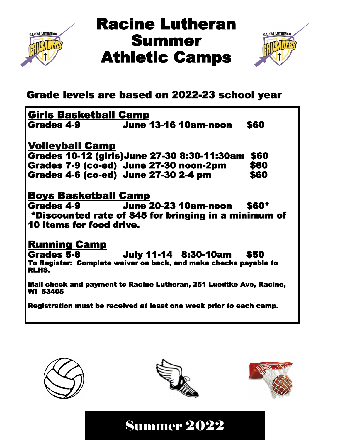

## Racine Lutheran Summer Athletic Camps



## Grade levels are based on 2022-23 school year

| <b>Girls Basketball Camp</b>                                              |                             |              |
|---------------------------------------------------------------------------|-----------------------------|--------------|
| Grades 4-9                                                                | <b>June 13-16 10am-noon</b> | \$60         |
| <b>Volleyball Camp</b>                                                    |                             |              |
| Grades 10-12 (girls)June 27-30 8:30-11:30am                               |                             | \$60         |
| Grades 7-9 (co-ed) June 27-30 noon-2pm                                    |                             | \$60         |
| <b>Grades 4-6 (co-ed) June 27-30 2-4 pm</b>                               |                             | \$60         |
| <b>Boys Basketball Camp</b>                                               |                             |              |
| Grades 4-9 June 20-23 10am-noon                                           |                             | <b>\$60*</b> |
| *Discounted rate of \$45 for bringing in a minimum of                     |                             |              |
| <b>10 items for food drive.</b>                                           |                             |              |
| <b>Running Camp</b>                                                       |                             |              |
| <b>Grades 5-8</b>                                                         | <b>July 11-14 8:30-10am</b> | \$50         |
| To Register: Complete waiver on back, and make checks payable to<br>RLHS. |                             |              |
| Mail check and payment to Racine Lutheran, 251 Luedtke Ave, Racine,       |                             |              |

WI 53405

Registration must be received at least one week prior to each camp.





Summer 2022